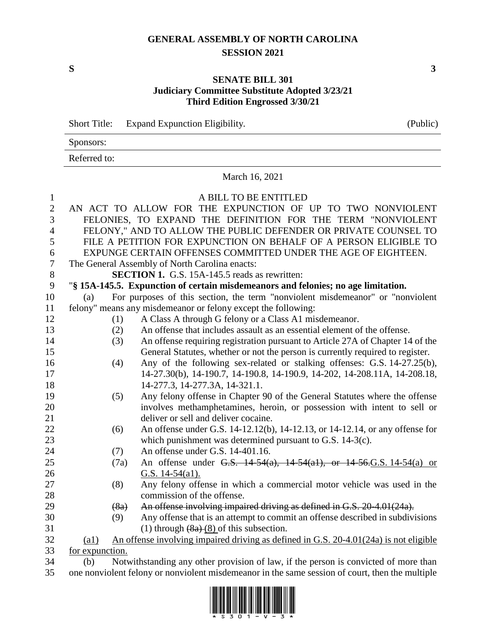## **GENERAL ASSEMBLY OF NORTH CAROLINA SESSION 2021**

**S 3**

## **SENATE BILL 301 Judiciary Committee Substitute Adopted 3/23/21 Third Edition Engrossed 3/30/21**

|              | <b>Short Title:</b>                                                                             | (Public)                                                         |                                                                                       |  |  |  |  |  |
|--------------|-------------------------------------------------------------------------------------------------|------------------------------------------------------------------|---------------------------------------------------------------------------------------|--|--|--|--|--|
|              | Sponsors:                                                                                       |                                                                  |                                                                                       |  |  |  |  |  |
|              | Referred to:                                                                                    |                                                                  |                                                                                       |  |  |  |  |  |
|              | March 16, 2021                                                                                  |                                                                  |                                                                                       |  |  |  |  |  |
| $\mathbf{1}$ |                                                                                                 | A BILL TO BE ENTITLED                                            |                                                                                       |  |  |  |  |  |
| $\mathbf{2}$ |                                                                                                 | AN ACT TO ALLOW FOR THE EXPUNCTION OF UP TO TWO NONVIOLENT       |                                                                                       |  |  |  |  |  |
| 3            | FELONIES, TO EXPAND THE DEFINITION FOR THE TERM "NONVIOLENT                                     |                                                                  |                                                                                       |  |  |  |  |  |
| 4            | FELONY," AND TO ALLOW THE PUBLIC DEFENDER OR PRIVATE COUNSEL TO                                 |                                                                  |                                                                                       |  |  |  |  |  |
| 5            |                                                                                                 | FILE A PETITION FOR EXPUNCTION ON BEHALF OF A PERSON ELIGIBLE TO |                                                                                       |  |  |  |  |  |
| 6            |                                                                                                 | EXPUNGE CERTAIN OFFENSES COMMITTED UNDER THE AGE OF EIGHTEEN.    |                                                                                       |  |  |  |  |  |
| $\tau$       |                                                                                                 | The General Assembly of North Carolina enacts:                   |                                                                                       |  |  |  |  |  |
| $8\,$        |                                                                                                 |                                                                  | <b>SECTION 1.</b> G.S. 15A-145.5 reads as rewritten:                                  |  |  |  |  |  |
| 9            |                                                                                                 |                                                                  | "§ 15A-145.5. Expunction of certain misdemeanors and felonies; no age limitation.     |  |  |  |  |  |
| 10           | (a)                                                                                             |                                                                  | For purposes of this section, the term "nonviolent misdemeanor" or "nonviolent        |  |  |  |  |  |
| 11           |                                                                                                 |                                                                  | felony" means any misdemeanor or felony except the following:                         |  |  |  |  |  |
| 12           |                                                                                                 | (1)                                                              | A Class A through G felony or a Class A1 misdemeanor.                                 |  |  |  |  |  |
| 13           |                                                                                                 | (2)                                                              | An offense that includes assault as an essential element of the offense.              |  |  |  |  |  |
| 14           |                                                                                                 | (3)                                                              | An offense requiring registration pursuant to Article 27A of Chapter 14 of the        |  |  |  |  |  |
| 15           |                                                                                                 |                                                                  | General Statutes, whether or not the person is currently required to register.        |  |  |  |  |  |
| 16           |                                                                                                 | (4)                                                              | Any of the following sex-related or stalking offenses: G.S. 14-27.25(b),              |  |  |  |  |  |
| 17           |                                                                                                 |                                                                  | 14-27.30(b), 14-190.7, 14-190.8, 14-190.9, 14-202, 14-208.11A, 14-208.18,             |  |  |  |  |  |
| 18           |                                                                                                 |                                                                  | 14-277.3, 14-277.3A, 14-321.1.                                                        |  |  |  |  |  |
| 19           |                                                                                                 | (5)                                                              | Any felony offense in Chapter 90 of the General Statutes where the offense            |  |  |  |  |  |
| 20           |                                                                                                 |                                                                  | involves methamphetamines, heroin, or possession with intent to sell or               |  |  |  |  |  |
| 21           |                                                                                                 |                                                                  | deliver or sell and deliver cocaine.                                                  |  |  |  |  |  |
| 22           |                                                                                                 | (6)                                                              | An offense under G.S. 14-12.12(b), 14-12.13, or 14-12.14, or any offense for          |  |  |  |  |  |
| 23           |                                                                                                 |                                                                  | which punishment was determined pursuant to G.S. 14-3(c).                             |  |  |  |  |  |
| 24           |                                                                                                 | (7)                                                              | An offense under G.S. 14-401.16.                                                      |  |  |  |  |  |
| 25           |                                                                                                 | (7a)                                                             | An offense under G.S. 14-54(a), 14-54(a1), or 14-56. G.S. 14-54(a) or                 |  |  |  |  |  |
| 26           |                                                                                                 |                                                                  | G.S. $14-54$ (a1).                                                                    |  |  |  |  |  |
| 27           |                                                                                                 | (8)                                                              | Any felony offense in which a commercial motor vehicle was used in the                |  |  |  |  |  |
| 28           |                                                                                                 |                                                                  | commission of the offense.                                                            |  |  |  |  |  |
| 29           |                                                                                                 | (8a)                                                             | An offense involving impaired driving as defined in G.S. 20-4.01(24a).                |  |  |  |  |  |
| 30           |                                                                                                 | (9)                                                              | Any offense that is an attempt to commit an offense described in subdivisions         |  |  |  |  |  |
| 31           |                                                                                                 |                                                                  | (1) through $(8a)$ $(8)$ of this subsection.                                          |  |  |  |  |  |
| 32           | $\left( \text{a1}\right)$                                                                       |                                                                  | An offense involving impaired driving as defined in G.S. 20-4.01(24a) is not eligible |  |  |  |  |  |
| 33           | for expunction.                                                                                 |                                                                  |                                                                                       |  |  |  |  |  |
| 34           | Notwithstanding any other provision of law, if the person is convicted of more than<br>(b)      |                                                                  |                                                                                       |  |  |  |  |  |
| 35           | one nonviolent felony or nonviolent misdemeanor in the same session of court, then the multiple |                                                                  |                                                                                       |  |  |  |  |  |

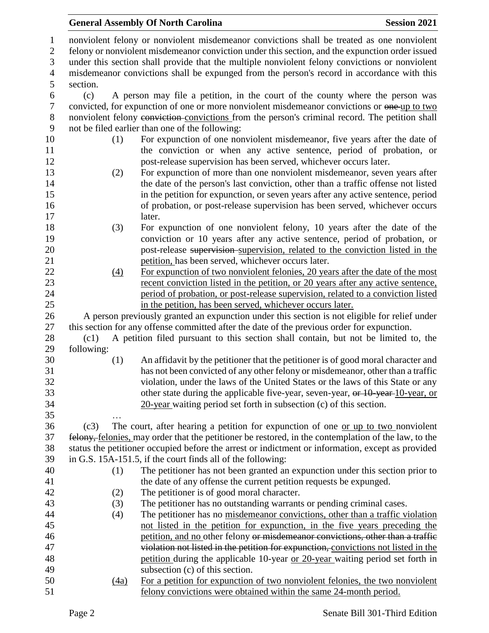|                                                     |            | <b>General Assembly Of North Carolina</b>                                                                                                                                                                                                                                                                                                                                                     | <b>Session 2021</b> |  |  |  |
|-----------------------------------------------------|------------|-----------------------------------------------------------------------------------------------------------------------------------------------------------------------------------------------------------------------------------------------------------------------------------------------------------------------------------------------------------------------------------------------|---------------------|--|--|--|
| $\mathbf{1}$<br>$\mathbf{2}$<br>3<br>$\overline{4}$ |            | nonviolent felony or nonviolent misdemeanor convictions shall be treated as one nonviolent<br>felony or nonviolent misdemeanor conviction under this section, and the expunction order issued<br>under this section shall provide that the multiple nonviolent felony convictions or nonviolent<br>misdemeanor convictions shall be expunged from the person's record in accordance with this |                     |  |  |  |
| 5                                                   | section.   |                                                                                                                                                                                                                                                                                                                                                                                               |                     |  |  |  |
| 6                                                   | (c)        | A person may file a petition, in the court of the county where the person was                                                                                                                                                                                                                                                                                                                 |                     |  |  |  |
| 7                                                   |            | convicted, for expunction of one or more nonviolent misdemeanor convictions or one-up to two                                                                                                                                                                                                                                                                                                  |                     |  |  |  |
| 8                                                   |            | nonviolent felony conviction convictions from the person's criminal record. The petition shall                                                                                                                                                                                                                                                                                                |                     |  |  |  |
| 9                                                   |            | not be filed earlier than one of the following:                                                                                                                                                                                                                                                                                                                                               |                     |  |  |  |
| 10                                                  | (1)        | For expunction of one nonviolent misdemeanor, five years after the date of                                                                                                                                                                                                                                                                                                                    |                     |  |  |  |
| 11                                                  |            | the conviction or when any active sentence, period of probation, or                                                                                                                                                                                                                                                                                                                           |                     |  |  |  |
| 12                                                  |            | post-release supervision has been served, whichever occurs later.                                                                                                                                                                                                                                                                                                                             |                     |  |  |  |
| 13                                                  | (2)        | For expunction of more than one nonviolent misdemeanor, seven years after                                                                                                                                                                                                                                                                                                                     |                     |  |  |  |
| 14                                                  |            | the date of the person's last conviction, other than a traffic offense not listed                                                                                                                                                                                                                                                                                                             |                     |  |  |  |
| 15                                                  |            | in the petition for expunction, or seven years after any active sentence, period                                                                                                                                                                                                                                                                                                              |                     |  |  |  |
| 16                                                  |            | of probation, or post-release supervision has been served, whichever occurs                                                                                                                                                                                                                                                                                                                   |                     |  |  |  |
| 17                                                  |            | later.                                                                                                                                                                                                                                                                                                                                                                                        |                     |  |  |  |
| 18<br>19                                            | (3)        | For expunction of one nonviolent felony, 10 years after the date of the<br>conviction or 10 years after any active sentence, period of probation, or                                                                                                                                                                                                                                          |                     |  |  |  |
| 20                                                  |            |                                                                                                                                                                                                                                                                                                                                                                                               |                     |  |  |  |
| 21                                                  |            | post-release supervision-supervision, related to the conviction listed in the<br>petition, has been served, whichever occurs later.                                                                                                                                                                                                                                                           |                     |  |  |  |
| 22                                                  | (4)        | For expunction of two nonviolent felonies, 20 years after the date of the most                                                                                                                                                                                                                                                                                                                |                     |  |  |  |
| 23                                                  |            | recent conviction listed in the petition, or 20 years after any active sentence,                                                                                                                                                                                                                                                                                                              |                     |  |  |  |
| 24                                                  |            | period of probation, or post-release supervision, related to a conviction listed                                                                                                                                                                                                                                                                                                              |                     |  |  |  |
| 25                                                  |            | in the petition, has been served, whichever occurs later.                                                                                                                                                                                                                                                                                                                                     |                     |  |  |  |
| 26                                                  |            | A person previously granted an expunction under this section is not eligible for relief under                                                                                                                                                                                                                                                                                                 |                     |  |  |  |
| 27                                                  |            | this section for any offense committed after the date of the previous order for expunction.                                                                                                                                                                                                                                                                                                   |                     |  |  |  |
| 28                                                  | (c1)       | A petition filed pursuant to this section shall contain, but not be limited to, the                                                                                                                                                                                                                                                                                                           |                     |  |  |  |
| 29                                                  | following: |                                                                                                                                                                                                                                                                                                                                                                                               |                     |  |  |  |
| 30                                                  | (1)        | An affidavit by the petitioner that the petitioner is of good moral character and                                                                                                                                                                                                                                                                                                             |                     |  |  |  |
| 31                                                  |            | has not been convicted of any other felony or misdemeanor, other than a traffic                                                                                                                                                                                                                                                                                                               |                     |  |  |  |
| 32                                                  |            | violation, under the laws of the United States or the laws of this State or any                                                                                                                                                                                                                                                                                                               |                     |  |  |  |
| 33                                                  |            | other state during the applicable five-year, seven-year, or 10-year-10-year, or                                                                                                                                                                                                                                                                                                               |                     |  |  |  |
| 34                                                  |            | $20$ -year waiting period set forth in subsection (c) of this section.                                                                                                                                                                                                                                                                                                                        |                     |  |  |  |
| 35                                                  |            |                                                                                                                                                                                                                                                                                                                                                                                               |                     |  |  |  |
| 36                                                  | (c3)       | The court, after hearing a petition for expunction of one or up to two nonviolent                                                                                                                                                                                                                                                                                                             |                     |  |  |  |
| 37                                                  |            | felony, felonies, may order that the petitioner be restored, in the contemplation of the law, to the                                                                                                                                                                                                                                                                                          |                     |  |  |  |
| 38                                                  |            | status the petitioner occupied before the arrest or indictment or information, except as provided                                                                                                                                                                                                                                                                                             |                     |  |  |  |
| 39                                                  |            | in G.S. 15A-151.5, if the court finds all of the following:                                                                                                                                                                                                                                                                                                                                   |                     |  |  |  |
| 40                                                  | (1)        | The petitioner has not been granted an expunction under this section prior to                                                                                                                                                                                                                                                                                                                 |                     |  |  |  |
| 41                                                  |            | the date of any offense the current petition requests be expunged.                                                                                                                                                                                                                                                                                                                            |                     |  |  |  |
| 42                                                  | (2)        | The petitioner is of good moral character.                                                                                                                                                                                                                                                                                                                                                    |                     |  |  |  |
| 43                                                  | (3)        | The petitioner has no outstanding warrants or pending criminal cases.                                                                                                                                                                                                                                                                                                                         |                     |  |  |  |
| 44                                                  | (4)        | The petitioner has no misdemeanor convictions, other than a traffic violation                                                                                                                                                                                                                                                                                                                 |                     |  |  |  |
| 45                                                  |            | not listed in the petition for expunction, in the five years preceding the                                                                                                                                                                                                                                                                                                                    |                     |  |  |  |
| 46<br>47                                            |            | petition, and no other felony or misdemeanor convictions, other than a traffic<br>violation not listed in the petition for expunction, convictions not listed in the                                                                                                                                                                                                                          |                     |  |  |  |
| 48                                                  |            | petition during the applicable 10-year or 20-year waiting period set forth in                                                                                                                                                                                                                                                                                                                 |                     |  |  |  |
| 49                                                  |            | subsection (c) of this section.                                                                                                                                                                                                                                                                                                                                                               |                     |  |  |  |
| 50                                                  | (4a)       | For a petition for expunction of two nonviolent felonies, the two nonviolent                                                                                                                                                                                                                                                                                                                  |                     |  |  |  |
| 51                                                  |            | felony convictions were obtained within the same 24-month period.                                                                                                                                                                                                                                                                                                                             |                     |  |  |  |
|                                                     |            |                                                                                                                                                                                                                                                                                                                                                                                               |                     |  |  |  |